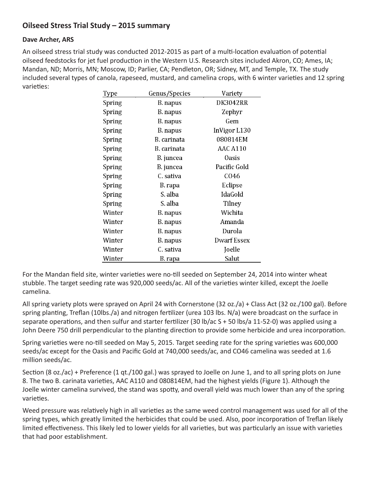## **Oilseed Stress Trial Study – 2015 summary**

## **Dave Archer, ARS**

An oilseed stress trial study was conducted 2012-2015 as part of a multi-location evaluation of potential oilseed feedstocks for jet fuel production in the Western U.S. Research sites included Akron, CO; Ames, IA; Mandan, ND; Morris, MN; Moscow, ID; Parlier, CA; Pendleton, OR; Sidney, MT, and Temple, TX. The study included several types of canola, rapeseed, mustard, and camelina crops, with 6 winter varieties and 12 spring varieties:

| Type   | Genus/Species | Variety            |
|--------|---------------|--------------------|
| Spring | B. napus      | DK3042RR           |
| Spring | B. napus      | Zephyr             |
| Spring | B. napus      | Gem                |
| Spring | B. napus      | InVigor L130       |
| Spring | B carinata    | 080814EM           |
| Spring | B carinata    | <b>AAC A110</b>    |
| Spring | B. juncea     | <b>Oasis</b>       |
| Spring | B. juncea     | Pacific Gold       |
| Spring | C. sativa     | C <sub>046</sub>   |
| Spring | B. rapa       | Eclipse            |
| Spring | S. alba       | IdaGold            |
| Spring | S. alba       | Tilney             |
| Winter | B. napus      | Wichita            |
| Winter | B. napus      | Amanda             |
| Winter | B. napus      | Durola             |
| Winter | B. napus      | <b>Dwarf Essex</b> |
| Winter | C. sativa     | Joelle             |
| Winter | B rapa        | Salut              |

For the Mandan field site, winter varieties were no-till seeded on September 24, 2014 into winter wheat stubble. The target seeding rate was 920,000 seeds/ac. All of the varieties winter killed, except the Joelle camelina.

All spring variety plots were sprayed on April 24 with Cornerstone (32 oz./a) + Class Act (32 oz./100 gal). Before spring planting, Treflan (10lbs./a) and nitrogen fertilizer (urea 103 lbs. N/a) were broadcast on the surface in separate operations, and then sulfur and starter fertilizer (30 lb/ac S + 50 lbs/a 11-52-0) was applied using a John Deere 750 drill perpendicular to the planting direction to provide some herbicide and urea incorporation.

Spring varieties were no-till seeded on May 5, 2015. Target seeding rate for the spring varieties was 600,000 seeds/ac except for the Oasis and Pacific Gold at 740,000 seeds/ac, and CO46 camelina was seeded at 1.6 million seeds/ac.

Section (8 oz./ac) + Preference (1 gt./100 gal.) was sprayed to Joelle on June 1, and to all spring plots on June 8. The two B. carinata varieties, AAC A110 and 080814EM, had the highest yields (Figure 1). Although the Joelle winter camelina survived, the stand was spotty, and overall yield was much lower than any of the spring varieties.

Weed pressure was relatively high in all varieties as the same weed control management was used for all of the spring types, which greatly limited the herbicides that could be used. Also, poor incorporation of Treflan likely limited effectiveness. This likely led to lower yields for all varieties, but was particularly an issue with varieties that had poor establishment.